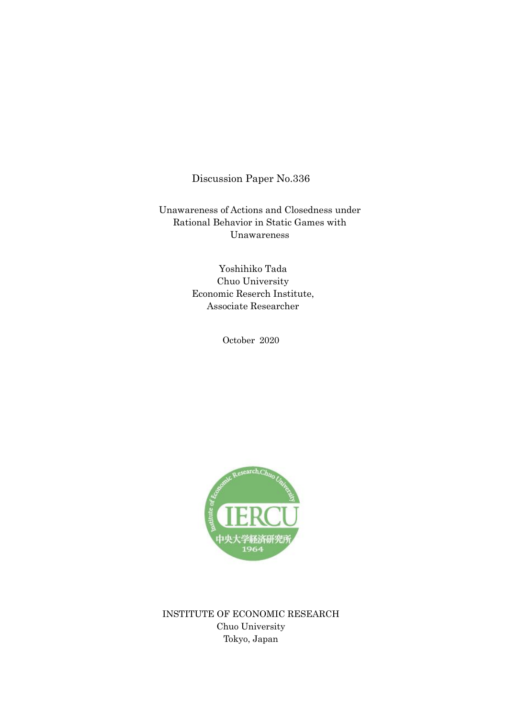## Discussion Paper No.336

Unawareness of Actions and Closedness under Rational Behavior in Static Games with Unawareness

> Yoshihiko Tada Chuo University Economic Reserch Institute, Associate Researcher

> > October 2020



INSTITUTE OF ECONOMIC RESEARCH Chuo University Tokyo, Japan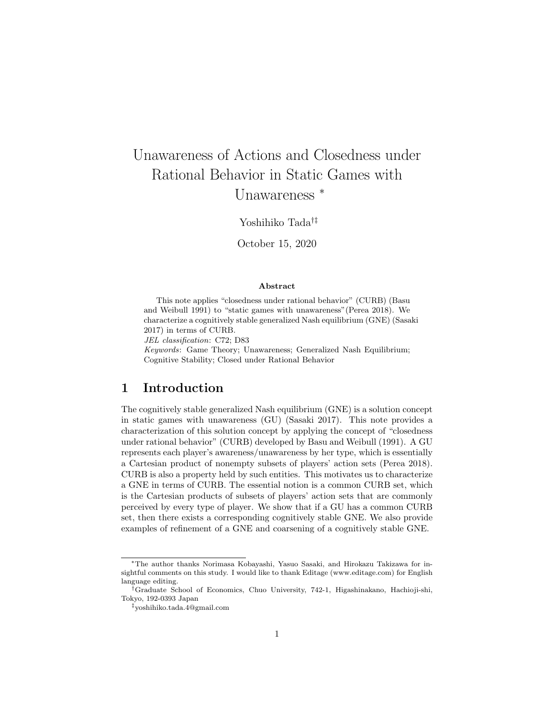# Unawareness of Actions and Closedness under Rational Behavior in Static Games with Unawareness *<sup>∗</sup>*

Yoshihiko Tada*†‡*

October 15, 2020

#### **Abstract**

This note applies "closedness under rational behavior" (CURB) (Basu and Weibull 1991) to "static games with unawareness"(Perea 2018). We characterize a cognitively stable generalized Nash equilibrium (GNE) (Sasaki 2017) in terms of CURB. *JEL classification*: C72; D83 *Keywords*: Game Theory; Unawareness; Generalized Nash Equilibrium; Cognitive Stability; Closed under Rational Behavior

#### **1 Introduction**

The cognitively stable generalized Nash equilibrium (GNE) is a solution concept in static games with unawareness (GU) (Sasaki 2017). This note provides a characterization of this solution concept by applying the concept of "closedness under rational behavior" (CURB) developed by Basu and Weibull (1991). A GU represents each player's awareness/unawareness by her type, which is essentially a Cartesian product of nonempty subsets of players' action sets (Perea 2018). CURB is also a property held by such entities. This motivates us to characterize a GNE in terms of CURB. The essential notion is a common CURB set, which is the Cartesian products of subsets of players' action sets that are commonly perceived by every type of player. We show that if a GU has a common CURB set, then there exists a corresponding cognitively stable GNE. We also provide examples of refinement of a GNE and coarsening of a cognitively stable GNE.

*<sup>∗</sup>*The author thanks Norimasa Kobayashi, Yasuo Sasaki, and Hirokazu Takizawa for insightful comments on this study. I would like to thank Editage (www.editage.com) for English language editing.

*<sup>†</sup>*Graduate School of Economics, Chuo University, 742-1, Higashinakano, Hachioji-shi, Tokyo, 192-0393 Japan

*<sup>‡</sup>*yoshihiko.tada.4@gmail.com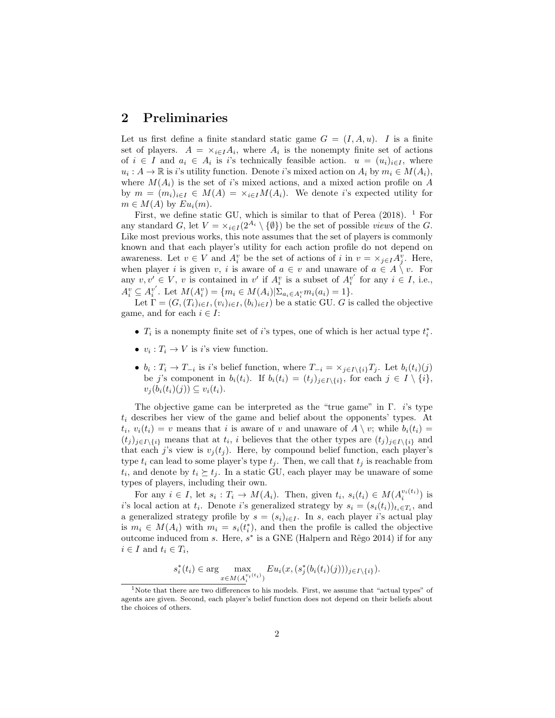#### **2 Preliminaries**

Let us first define a finite standard static game  $G = (I, A, u)$ . *I* is a finite set of players.  $A = \times_{i \in I} A_i$ , where  $A_i$  is the nonempty finite set of actions of  $i \in I$  and  $a_i \in A_i$  is *i*'s technically feasible action.  $u = (u_i)_{i \in I}$ , where  $u_i: A \to \mathbb{R}$  is *i*'s utility function. Denote *i*'s mixed action on  $A_i$  by  $m_i \in M(A_i)$ , where  $M(A_i)$  is the set of *i*'s mixed actions, and a mixed action profile on *A* by  $m = (m_i)_{i \in I} \in M(A) = \times_{i \in I} M(A_i)$ . We denote *i*'s expected utility for  $m \in M(A)$  by  $Eu_i(m)$ .

First, we define static GU, which is similar to that of Perea  $(2018)$ . <sup>1</sup> For any standard *G*, let  $V = \times_{i \in I} (2^{A_i} \setminus \{\emptyset\})$  be the set of possible *views* of the *G*. Like most previous works, this note assumes that the set of players is commonly known and that each player's utility for each action profile do not depend on awareness. Let  $v \in V$  and  $A_i^v$  be the set of actions of *i* in  $v = \times_{j \in I} A_j^v$ . Here, when player *i* is given *v*, *i* is aware of  $a \in v$  and unaware of  $a \in A \setminus v$ . For any  $v, v' \in V$ , *v* is contained in *v'* if  $A_i^v$  is a subset of  $A_i^{v'}$  for any  $i \in I$ , i.e.,  $A_i^v \subseteq A_i^{v'}$ . Let  $M(A_i^v) = \{m_i \in M(A_i)|\Sigma_{a_i \in A_i^v} m_i(a_i) = 1\}.$ 

Let  $\Gamma = (G, (T_i)_{i \in I}, (v_i)_{i \in I}, (b_i)_{i \in I})$  be a static GU. *G* is called the objective game, and for each  $i \in I$ :

- *• T<sup>i</sup>* is a nonempty finite set of *i*'s types, one of which is her actual type *t ∗ i* .
- $v_i: T_i \to V$  is *i*'s view function.
- $b_i: T_i \to T_{-i}$  is i's belief function, where  $T_{-i} = \times_{j \in I \setminus \{i\}} T_j$ . Let  $b_i(t_i)(j)$ be j's component in  $b_i(t_i)$ . If  $b_i(t_i) = (t_j)_{j \in I \setminus \{i\}}$ , for each  $j \in I \setminus \{i\}$ ,  $v_j(b_i(t_i)(j)) \subseteq v_i(t_i).$

The objective game can be interpreted as the "true game" in Γ. *i*'s type *t<sup>i</sup>* describes her view of the game and belief about the opponents' types. At  $t_i$ ,  $v_i(t_i) = v$  means that *i* is aware of *v* and unaware of  $A \setminus v$ ; while  $b_i(t_i) =$  $(t_j)_{j \in I \setminus \{i\}}$  means that at  $t_i$ , *i* believes that the other types are  $(t_j)_{j \in I \setminus \{i\}}$  and that each *j*'s view is  $v_i(t_i)$ . Here, by compound belief function, each player's type  $t_i$  can lead to some player's type  $t_i$ . Then, we call that  $t_i$  is reachable from  $t_i$ , and denote by  $t_i \geq t_j$ . In a static GU, each player may be unaware of some types of players, including their own.

For any  $i \in I$ , let  $s_i : T_i \to M(A_i)$ . Then, given  $t_i$ ,  $s_i(t_i) \in M(A_i^{v_i(t_i)})$  is *i*'s local action at *t*<sub>*i*</sub>. Denote *i*'s generalized strategy by  $s_i = (s_i(t_i))_{t_i \in T_i}$ , and a generalized strategy profile by  $s = (s_i)_{i \in I}$ . In *s*, each player *i*'s actual play is  $m_i \in M(A_i)$  with  $m_i = s_i(t_i^*)$ , and then the profile is called the objective outcome induced from *s*. Here,  $s^*$  is a GNE (Halpern and Rêgo 2014) if for any  $i \in I$  and  $t_i \in T_i$ ,

$$
s_i^*(t_i) \in \arg \max_{x \in M(A_i^{v_i(t_i)})} Eu_i(x, (s_j^*(b_i(t_i)(j)))_{j \in I \setminus \{i\}}).
$$

<sup>&</sup>lt;sup>1</sup>Note that there are two differences to his models. First, we assume that "actual types" of agents are given. Second, each player's belief function does not depend on their beliefs about the choices of others.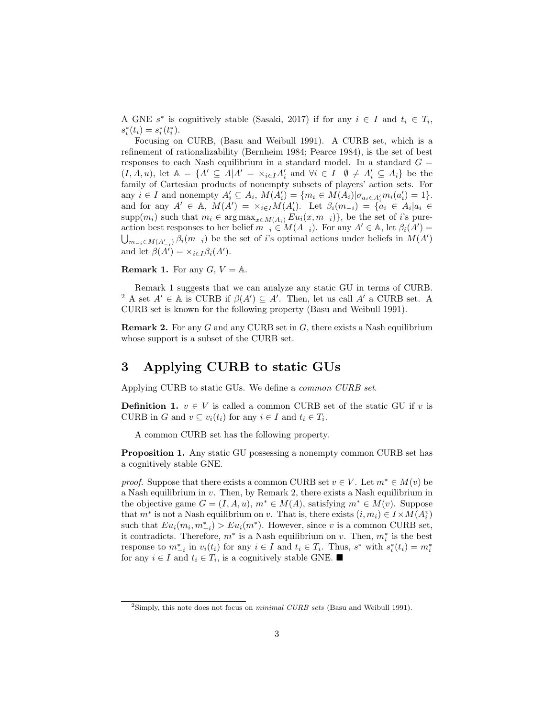A GNE  $s^*$  is cognitively stable (Sasaki, 2017) if for any  $i \in I$  and  $t_i \in T_i$ ,  $s_i^*(t_i) = s_i^*(t_i^*).$ 

Focusing on CURB, (Basu and Weibull 1991). A CURB set, which is a refinement of rationalizability (Bernheim 1984; Pearce 1984), is the set of best responses to each Nash equilibrium in a standard model. In a standard  $G =$  $(I, A, u)$ , let  $\mathbb{A} = \{A' \subseteq A | A' = \times_{i \in I} A'_i \text{ and } \forall i \in I \ \emptyset \neq A'_i \subseteq A_i\}$  be the family of Cartesian products of nonempty subsets of players' action sets. For any  $i \in I$  and nonempty  $A'_i \subseteq A_i$ ,  $M(A'_i) = \{m_i \in M(A_i) | \sigma_{a_i \in A'_i} m_i(a'_i) = 1\}.$ and for any  $A' \in A$ ,  $M(A') = \times_{i \in I} M(A'_i)$ . Let  $\beta_i(m_{-i}) = {\alpha_i \in A_i | a_i \in I}$ supp $(m_i)$  such that  $m_i \in \arg \max_{x \in M(A_i)} Eu_i(x, m_{-i})\}$ , be the set of *i*'s pureaction best responses to her belief  $m_{-i} ∈ M(A_{-i})$ . For any  $A' ∈ A$ , let  $\beta_i(A') =$  $\bigcup_{m_{-i} \in M(A'_{-i})} \beta_i(m_{-i})$  be the set of *i*'s optimal actions under beliefs in  $M(A')$ and let  $\beta(A') = \times_{i \in I} \beta_i(A')$ .

**Remark 1.** For any  $G, V = \mathbb{A}$ .

Remark 1 suggests that we can analyze any static GU in terms of CURB. <sup>2</sup> A set  $A' \in A$  is CURB if  $\beta(A') \subseteq A'$ . Then, let us call  $A'$  a CURB set. A CURB set is known for the following property (Basu and Weibull 1991).

**Remark 2.** For any *G* and any CURB set in *G*, there exists a Nash equilibrium whose support is a subset of the CURB set.

### **3 Applying CURB to static GUs**

Applying CURB to static GUs. We define a *common CURB set*.

**Definition 1.**  $v \in V$  is called a common CURB set of the static GU if *v* is CURB in *G* and  $v \subseteq v_i(t_i)$  for any  $i \in I$  and  $t_i \in T_i$ .

A common CURB set has the following property.

**Proposition 1.** Any static GU possessing a nonempty common CURB set has a cognitively stable GNE.

*proof.* Suppose that there exists a common CURB set  $v \in V$ . Let  $m^* \in M(v)$  be a Nash equilibrium in *v*. Then, by Remark 2, there exists a Nash equilibrium in the objective game  $G = (I, A, u)$ ,  $m^* \in M(A)$ , satisfying  $m^* \in M(v)$ . Suppose that  $m^*$  is not a Nash equilibrium on *v*. That is, there exists  $(i, m_i) \in I \times M(A_i^v)$ such that  $Eu_i(m_i, m_{-i}^*) > Eu_i(m^*)$ . However, since *v* is a common CURB set, it contradicts. Therefore,  $m^*$  is a Nash equilibrium on *v*. Then,  $m_i^*$  is the best response to  $m_{-i}^*$  in  $v_i(t_i)$  for any  $i \in I$  and  $t_i \in T_i$ . Thus,  $s^*$  with  $s_i^*(t_i) = m_i^*$ for any  $i \in I$  and  $t_i \in T_i$ , is a cognitively stable GNE. ■

<sup>2</sup>Simply, this note does not focus on *minimal CURB sets* (Basu and Weibull 1991).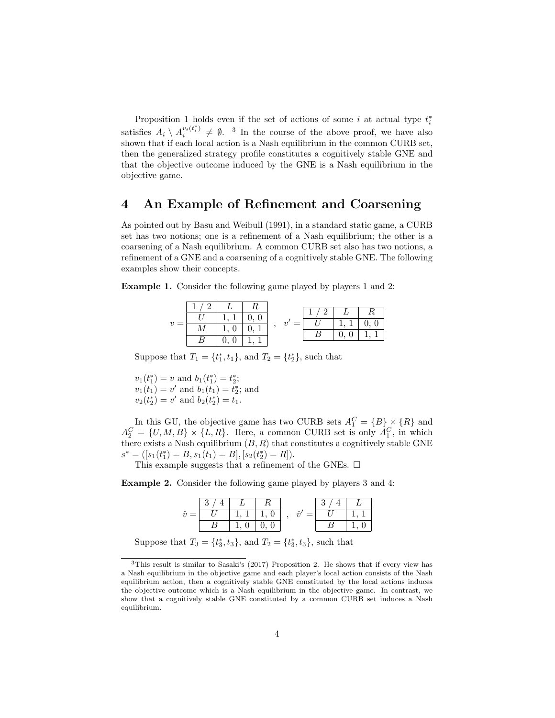Proposition 1 holds even if the set of actions of some *i* at actual type  $t_i^*$ satisfies  $A_i \setminus A_i^{v_i(t_i^*)}$  $v_i(t_i) \neq \emptyset$ . <sup>3</sup> In the course of the above proof, we have also shown that if each local action is a Nash equilibrium in the common CURB set, then the generalized strategy profile constitutes a cognitively stable GNE and that the objective outcome induced by the GNE is a Nash equilibrium in the objective game.

#### **4 An Example of Refinement and Coarsening**

As pointed out by Basu and Weibull (1991), in a standard static game, a CURB set has two notions; one is a refinement of a Nash equilibrium; the other is a coarsening of a Nash equilibrium. A common CURB set also has two notions, a refinement of a GNE and a coarsening of a cognitively stable GNE. The following examples show their concepts.

**Example 1.** Consider the following game played by players 1 and 2:

|  |                |       | $\lceil 2 \rceil$ | $L \perp$            |  |
|--|----------------|-------|-------------------|----------------------|--|
|  |                | $=$ 1 |                   | $1, 1 \mid 0, 1$     |  |
|  | $1, 0 \mid 0,$ |       |                   | 0 <sup>1</sup><br>0. |  |
|  |                |       |                   |                      |  |

Suppose that  $T_1 = \{t_1^*, t_1\}$ , and  $T_2 = \{t_2^*\}$ , such that

 $v_1(t_1^*) = v$  and  $b_1(t_1^*) = t_2^*$ ;  $v_1(t_1) = v'$  and  $b_1(t_1) = t_2^*$ ; and  $v_2(t_2^*) = v'$  and  $b_2(t_2^*) = t_1$ .

In this GU, the objective game has two CURB sets  $A_1^C = \{B\} \times \{R\}$  and  $A_2^C = \{U, M, B\} \times \{L, R\}$ . Here, a common CURB set is only  $A_1^C$ , in which there exists a Nash equilibrium  $(B, R)$  that constitutes a cognitively stable GNE  $s^* = ([s_1(t_1^*) = B, s_1(t_1) = B], [s_2(t_2^*) = R]).$ 

This example suggests that a refinement of the GNEs.  $\square$ 

**Example 2.** Consider the following game played by players 3 and 4:

|  |              |      |  | $\Omega$ |                |
|--|--------------|------|--|----------|----------------|
|  | $1.1$   1, 0 |      |  |          | $\overline{1}$ |
|  | 1.0          | 0, 0 |  |          |                |

Suppose that  $T_3 = \{t_3^*, t_3\}$ , and  $T_2 = \{t_3^*, t_3\}$ , such that

<sup>3</sup>This result is similar to Sasaki's (2017) Proposition 2. He shows that if every view has a Nash equilibrium in the objective game and each player's local action consists of the Nash equilibrium action, then a cognitively stable GNE constituted by the local actions induces the objective outcome which is a Nash equilibrium in the objective game. In contrast, we show that a cognitively stable GNE constituted by a common CURB set induces a Nash equilibrium.